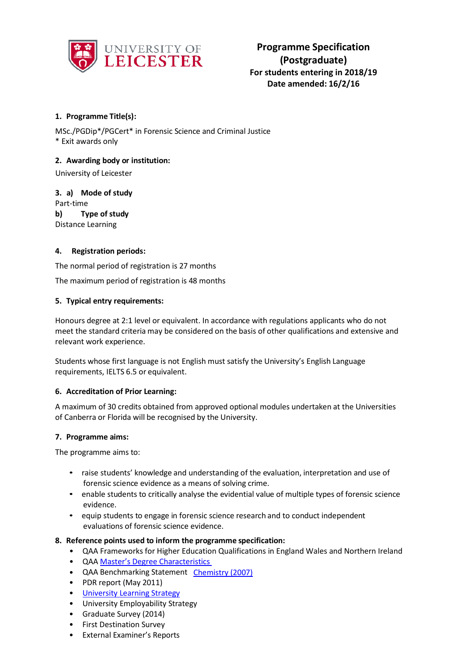

# **1. Programme Title(s):**

MSc./PGDip\*/PGCert\* in Forensic Science and Criminal Justice \* Exit awards only

## **2. Awarding body or institution:**

University of Leicester

**3. a) Mode of study** Part-time **b) Type of study** Distance Learning

## **4. Registration periods:**

The normal period of registration is 27 months

The maximum period of registration is 48 months

## **5. Typical entry requirements:**

Honours degree at 2:1 level or equivalent. In accordance with regulations applicants who do not meet the standard criteria may be considered on the basis of other qualifications and extensive and relevant work experience.

Students whose first language is not English must satisfy the University's English Language requirements, IELTS 6.5 or equivalent.

### **6. Accreditation of Prior Learning:**

A maximum of 30 credits obtained from approved optional modules undertaken at the Universities of Canberra or Florida will be recognised by the University.

### **7. Programme aims:**

The programme aims to:

- raise students' knowledge and understanding of the evaluation, interpretation and use of forensic science evidence as a means of solving crime.
- enable students to critically analyse the evidential value of multiple types of forensic science evidence.
- equip students to engage in forensic science research and to conduct independent evaluations of forensic science evidence.

### **8. Reference points used to inform the programme specification:**

- QAA Frameworks for Higher Education Qualifications in England Wales and Northern Ireland
- QAA Master's Degree [Characteristics](http://www.qaa.ac.uk/en/Publications/Documents/Masters-Degree-Characteristics-2010.pdf)
- QAA Benchmarking Statement [Chemistry](http://www.qaa.ac.uk/en/Publications/Documents/Subject-benchmark-statement-Chemistry-2007.pdfhttp%3A/www.qaa.ac.uk/en/Publications/Documents/Subject-benchmark-statement-Chemistry-2007.pdf) (2007)
- PDR report (May 2011)
- University [Learning Strategy](http://www2.le.ac.uk/offices/sas2/quality/learnteach)
- University Employability Strategy
- Graduate Survey (2014)
- First Destination Survey
- External Examiner's Reports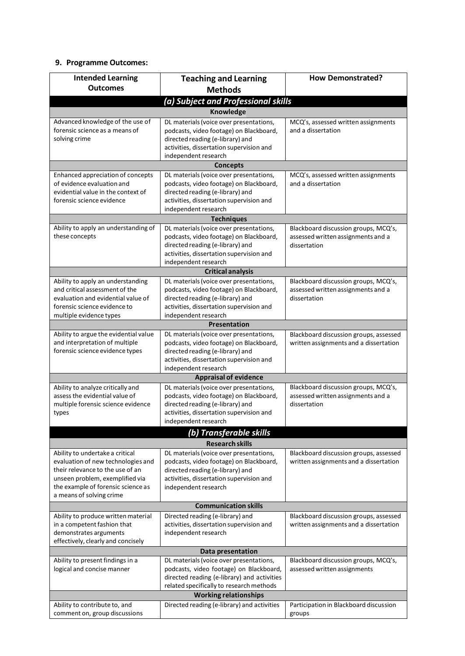# **9. Programme Outcomes:**

| <b>Intended Learning</b>                                                                                                                                                                                       | <b>Teaching and Learning</b>                                                                                                                                                               | <b>How Demonstrated?</b>                                                                   |  |  |
|----------------------------------------------------------------------------------------------------------------------------------------------------------------------------------------------------------------|--------------------------------------------------------------------------------------------------------------------------------------------------------------------------------------------|--------------------------------------------------------------------------------------------|--|--|
| <b>Outcomes</b>                                                                                                                                                                                                | <b>Methods</b>                                                                                                                                                                             |                                                                                            |  |  |
| (a) Subject and Professional skills                                                                                                                                                                            |                                                                                                                                                                                            |                                                                                            |  |  |
|                                                                                                                                                                                                                | Knowledge                                                                                                                                                                                  |                                                                                            |  |  |
| Advanced knowledge of the use of<br>forensic science as a means of<br>solving crime                                                                                                                            | DL materials (voice over presentations,<br>podcasts, video footage) on Blackboard,<br>directed reading (e-library) and<br>activities, dissertation supervision and<br>independent research | MCQ's, assessed written assignments<br>and a dissertation                                  |  |  |
|                                                                                                                                                                                                                | <b>Concepts</b>                                                                                                                                                                            |                                                                                            |  |  |
| Enhanced appreciation of concepts                                                                                                                                                                              | DL materials (voice over presentations,                                                                                                                                                    | MCQ's, assessed written assignments                                                        |  |  |
| of evidence evaluation and<br>evidential value in the context of<br>forensic science evidence                                                                                                                  | podcasts, video footage) on Blackboard,<br>directed reading (e-library) and<br>activities, dissertation supervision and<br>independent research                                            | and a dissertation                                                                         |  |  |
|                                                                                                                                                                                                                | <b>Techniques</b>                                                                                                                                                                          |                                                                                            |  |  |
| Ability to apply an understanding of<br>these concepts                                                                                                                                                         | DL materials (voice over presentations,<br>podcasts, video footage) on Blackboard,<br>directed reading (e-library) and<br>activities, dissertation supervision and<br>independent research | Blackboard discussion groups, MCQ's,<br>assessed written assignments and a<br>dissertation |  |  |
|                                                                                                                                                                                                                | <b>Critical analysis</b>                                                                                                                                                                   |                                                                                            |  |  |
| Ability to apply an understanding<br>and critical assessment of the<br>evaluation and evidential value of<br>forensic science evidence to<br>multiple evidence types                                           | DL materials (voice over presentations,<br>podcasts, video footage) on Blackboard,<br>directed reading (e-library) and<br>activities, dissertation supervision and<br>independent research | Blackboard discussion groups, MCQ's,<br>assessed written assignments and a<br>dissertation |  |  |
|                                                                                                                                                                                                                | Presentation                                                                                                                                                                               |                                                                                            |  |  |
| Ability to argue the evidential value<br>and interpretation of multiple<br>forensic science evidence types                                                                                                     | DL materials (voice over presentations,<br>podcasts, video footage) on Blackboard,<br>directed reading (e-library) and<br>activities, dissertation supervision and<br>independent research | Blackboard discussion groups, assessed<br>written assignments and a dissertation           |  |  |
|                                                                                                                                                                                                                | <b>Appraisal of evidence</b>                                                                                                                                                               |                                                                                            |  |  |
| Ability to analyze critically and<br>assess the evidential value of<br>multiple forensic science evidence<br>types                                                                                             | DL materials (voice over presentations,<br>podcasts, video footage) on Blackboard,<br>directed reading (e-library) and<br>activities, dissertation supervision and<br>independent research | Blackboard discussion groups, MCQ's,<br>assessed written assignments and a<br>dissertation |  |  |
|                                                                                                                                                                                                                | (b) Transferable skills                                                                                                                                                                    |                                                                                            |  |  |
|                                                                                                                                                                                                                | <b>Research skills</b>                                                                                                                                                                     |                                                                                            |  |  |
| Ability to undertake a critical<br>evaluation of new technologies and<br>their relevance to the use of an<br>unseen problem, exemplified via<br>the example of forensic science as<br>a means of solving crime | DL materials (voice over presentations,<br>podcasts, video footage) on Blackboard,<br>directed reading (e-library) and<br>activities, dissertation supervision and<br>independent research | Blackboard discussion groups, assessed<br>written assignments and a dissertation           |  |  |
| <b>Communication skills</b>                                                                                                                                                                                    |                                                                                                                                                                                            |                                                                                            |  |  |
| Ability to produce written material<br>in a competent fashion that<br>demonstrates arguments<br>effectively, clearly and concisely                                                                             | Directed reading (e-library) and<br>activities, dissertation supervision and<br>independent research                                                                                       | Blackboard discussion groups, assessed<br>written assignments and a dissertation           |  |  |
|                                                                                                                                                                                                                | Data presentation                                                                                                                                                                          |                                                                                            |  |  |
| Ability to present findings in a<br>logical and concise manner                                                                                                                                                 | DL materials (voice over presentations,<br>podcasts, video footage) on Blackboard,<br>directed reading (e-library) and activities<br>related specifically to research methods              | Blackboard discussion groups, MCQ's,<br>assessed written assignments                       |  |  |
| <b>Working relationships</b>                                                                                                                                                                                   |                                                                                                                                                                                            |                                                                                            |  |  |
| Ability to contribute to, and<br>comment on, group discussions                                                                                                                                                 | Directed reading (e-library) and activities                                                                                                                                                | Participation in Blackboard discussion<br>groups                                           |  |  |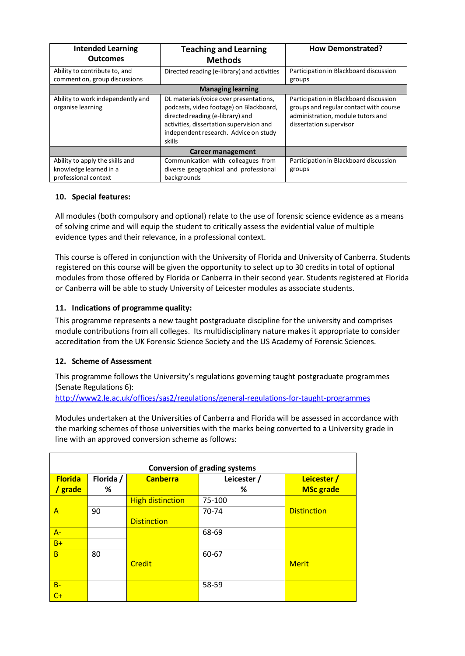| <b>Intended Learning</b><br><b>Outcomes</b>                                       | <b>Teaching and Learning</b><br><b>Methods</b>                                                                                                                                                                        | <b>How Demonstrated?</b>                                                                                                                         |
|-----------------------------------------------------------------------------------|-----------------------------------------------------------------------------------------------------------------------------------------------------------------------------------------------------------------------|--------------------------------------------------------------------------------------------------------------------------------------------------|
| Ability to contribute to, and<br>comment on, group discussions                    | Directed reading (e-library) and activities                                                                                                                                                                           | Participation in Blackboard discussion<br>groups                                                                                                 |
|                                                                                   |                                                                                                                                                                                                                       |                                                                                                                                                  |
| Ability to work independently and<br>organise learning                            | DL materials (voice over presentations,<br>podcasts, video footage) on Blackboard,<br>directed reading (e-library) and<br>activities, dissertation supervision and<br>independent research. Advice on study<br>skills | Participation in Blackboard discussion<br>groups and regular contact with course<br>administration, module tutors and<br>dissertation supervisor |
|                                                                                   | Career management                                                                                                                                                                                                     |                                                                                                                                                  |
| Ability to apply the skills and<br>knowledge learned in a<br>professional context | Communication with colleagues from<br>diverse geographical and professional<br>backgrounds                                                                                                                            | Participation in Blackboard discussion<br>groups                                                                                                 |

# **10. Special features:**

All modules (both compulsory and optional) relate to the use of forensic science evidence as a means of solving crime and will equip the student to critically assess the evidential value of multiple evidence types and their relevance, in a professional context.

This course is offered in conjunction with the University of Florida and University of Canberra. Students registered on this course will be given the opportunity to select up to 30 credits in total of optional modules from those offered by Florida or Canberra in their second year. Students registered at Florida or Canberra will be able to study University of Leicester modules as associate students.

# **11. Indications of programme quality:**

This programme represents a new taught postgraduate discipline for the university and comprises module contributions from all colleges. Its multidisciplinary nature makes it appropriate to consider accreditation from the UK Forensic Science Society and the US Academy of Forensic Sciences.

# **12. Scheme of Assessment**

This programme follows the University's regulations governing taught postgraduate programmes (Senate Regulations 6):

<http://www2.le.ac.uk/offices/sas2/regulations/general-regulations-for-taught-programmes>

Modules undertaken at the Universities of Canberra and Florida will be assessed in accordance with the marking schemes of those universities with the marks being converted to a University grade in line with an approved conversion scheme as follows:

| <b>Conversion of grading systems</b> |           |                         |             |                    |
|--------------------------------------|-----------|-------------------------|-------------|--------------------|
| <b>Florida</b>                       | Florida / | <b>Canberra</b>         | Leicester / | Leicester /        |
| grade                                | %         |                         | ℅           | <b>MSc grade</b>   |
|                                      |           | <b>High distinction</b> | 75-100      |                    |
| A                                    | 90        |                         | 70-74       | <b>Distinction</b> |
|                                      |           | <b>Distinction</b>      |             |                    |
| $A -$                                |           |                         | 68-69       |                    |
| $B+$                                 |           |                         |             |                    |
| B                                    | 80        |                         | 60-67       |                    |
|                                      |           | <b>Credit</b>           |             | <b>Merit</b>       |
|                                      |           |                         |             |                    |
| $B -$                                |           |                         | 58-59       |                    |
| $C+$                                 |           |                         |             |                    |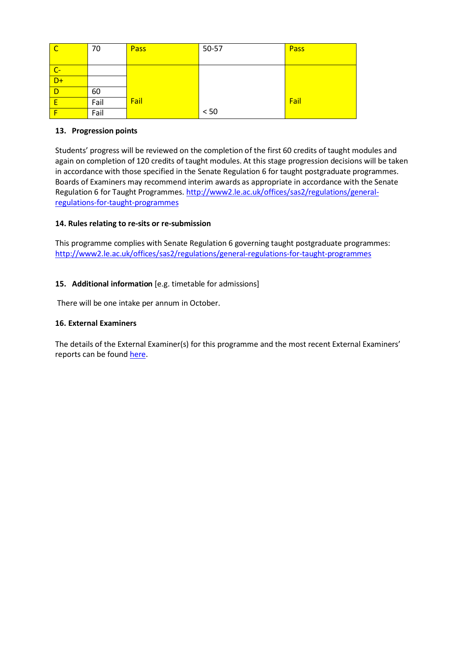| $\overline{\phantom{a}}$ C | 70   | Pass | 50-57 | Pass |
|----------------------------|------|------|-------|------|
|                            |      |      |       |      |
| $\overline{C}$             |      |      |       |      |
| $D+$                       |      |      |       |      |
| $\blacksquare$             | 60   |      |       |      |
| E                          | Fail | Fail |       | Fail |
|                            | Fail |      | < 50  |      |

# **13. Progression points**

Students' progress will be reviewed on the completion of the first 60 credits of taught modules and again on completion of 120 credits of taught modules. At this stage progression decisions will be taken in accordance with those specified in the Senate Regulation 6 for taught postgraduate programmes. Boards of Examiners may recommend interim awards as appropriate in accordance with the Senate Regulation 6 for Taught Programmes. [http://www2.le.ac.uk/offices/sas2/regulations/general](http://www2.le.ac.uk/offices/sas2/regulations/general-regulations-for-taught-programmes)[regulations-for-taught-programmes](http://www2.le.ac.uk/offices/sas2/regulations/general-regulations-for-taught-programmes)

## **14. Rules relating to re-sits or re-submission**

This programme complies with Senate Regulation 6 governing taught postgraduate programmes: <http://www2.le.ac.uk/offices/sas2/regulations/general-regulations-for-taught-programmes>

## **15. Additional information** [e.g. timetable for admissions]

There will be one intake per annum in October.

### **16. External Examiners**

The details of the External Examiner(s) for this programme and the most recent External Examiners' reports can be found [here.](https://exampapers.le.ac.uk/xmlui/handle/123456789/209)